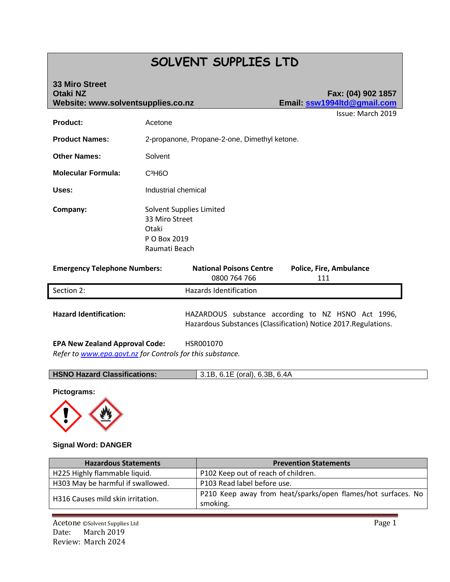# **SOLVENT SUPPLIES LTD**

| <b>33 Miro Street</b><br><b>Otaki NZ</b><br>Website: www.solventsupplies.co.nz |                                                                                      | Fax: (04) 902 1857<br>Email ssw1994Itd@gmail.com |
|--------------------------------------------------------------------------------|--------------------------------------------------------------------------------------|--------------------------------------------------|
| <b>Product:</b>                                                                | Acetone                                                                              | Issue: March 2019                                |
| <b>Product Names:</b>                                                          | 2-propanone, Propane-2-one, Dimethyl ketone.                                         |                                                  |
| <b>Other Names:</b>                                                            | Solvent                                                                              |                                                  |
| <b>Molecular Formula:</b>                                                      | $C^3H6O$                                                                             |                                                  |
| Uses:                                                                          | Industrial chemical                                                                  |                                                  |
| Company:                                                                       | Solvent Supplies Limited<br>33 Miro Street<br>Otaki<br>P O Box 2019<br>Raumati Beach |                                                  |

| <b>Emergency Telephone Numbers:</b>   | <b>National Poisons Centre</b><br>0800 764 766 | <b>Police, Fire, Ambulance</b><br>111                                                                                 |
|---------------------------------------|------------------------------------------------|-----------------------------------------------------------------------------------------------------------------------|
| Section 2:                            | Hazards Identification                         |                                                                                                                       |
| <b>Hazard Identification:</b>         |                                                | HAZARDOUS substance according to NZ HSNO Act 1996,<br>Hazardous Substances (Classification) Notice 2017. Regulations. |
| <b>EPA New Zealand Approval Code:</b> | HSR001070                                      |                                                                                                                       |

*Refer to [www.epa.govt.nz](http://www.epa.govt.nz/) for Controls for this substance.*

| <b>HSNO Hazard Classifications:</b> | 3.1B, 6.1E (oral), 6.3B, 6.4A |
|-------------------------------------|-------------------------------|
|-------------------------------------|-------------------------------|

**Pictograms:**



## **Signal Word: DANGER**

| <b>Hazardous Statements</b>       | <b>Prevention Statements</b>                                 |
|-----------------------------------|--------------------------------------------------------------|
| H225 Highly flammable liquid.     | P102 Keep out of reach of children.                          |
| H303 May be harmful if swallowed. | P103 Read label before use.                                  |
|                                   | P210 Keep away from heat/sparks/open flames/hot surfaces. No |
| H316 Causes mild skin irritation. | smoking.                                                     |

Acetone ©Solvent Supplies Ltd Page 1 Date: March 2019 Review: March 2024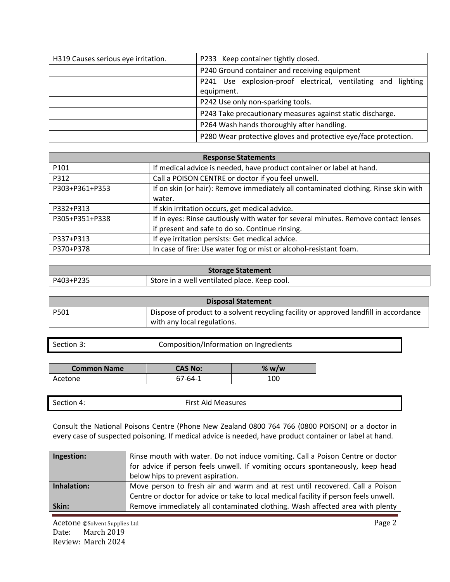| H319 Causes serious eye irritation. | P233 Keep container tightly closed.                             |
|-------------------------------------|-----------------------------------------------------------------|
|                                     | P240 Ground container and receiving equipment                   |
|                                     | P241 Use explosion-proof electrical, ventilating and lighting   |
|                                     | equipment.                                                      |
|                                     | P242 Use only non-sparking tools.                               |
|                                     | P243 Take precautionary measures against static discharge.      |
|                                     | P264 Wash hands thoroughly after handling.                      |
|                                     | P280 Wear protective gloves and protective eye/face protection. |

| <b>Response Statements</b> |                                                                                     |  |
|----------------------------|-------------------------------------------------------------------------------------|--|
| P <sub>101</sub>           | If medical advice is needed, have product container or label at hand.               |  |
| P312                       | Call a POISON CENTRE or doctor if you feel unwell.                                  |  |
| P303+P361+P353             | If on skin (or hair): Remove immediately all contaminated clothing. Rinse skin with |  |
|                            | water.                                                                              |  |
| P332+P313                  | If skin irritation occurs, get medical advice.                                      |  |
| P305+P351+P338             | If in eyes: Rinse cautiously with water for several minutes. Remove contact lenses  |  |
|                            | if present and safe to do so. Continue rinsing.                                     |  |
| P337+P313                  | If eye irritation persists: Get medical advice.                                     |  |
| P370+P378                  | In case of fire: Use water fog or mist or alcohol-resistant foam.                   |  |

| <b>Storage Statement</b> |                                              |
|--------------------------|----------------------------------------------|
| l P403+P235              | Store in a well ventilated place. Keep cool. |

| <b>Disposal Statement</b> |                                                                                       |
|---------------------------|---------------------------------------------------------------------------------------|
| l P501                    | Dispose of product to a solvent recycling facility or approved landfill in accordance |
|                           | with any local regulations.                                                           |

Section 3: Composition/Information on Ingredients

| <b>Common Name</b> | <b>CAS No:</b> | % $w/w$ |
|--------------------|----------------|---------|
| Acetone            | 67-64-1        | 100     |

| Section 4: | <b>First Aid Measures</b> |
|------------|---------------------------|
|            |                           |

Consult the National Poisons Centre (Phone New Zealand 0800 764 766 (0800 POISON) or a doctor in every case of suspected poisoning. If medical advice is needed, have product container or label at hand.

| Ingestion:  | Rinse mouth with water. Do not induce vomiting. Call a Poison Centre or doctor<br>for advice if person feels unwell. If vomiting occurs spontaneously, keep head |
|-------------|------------------------------------------------------------------------------------------------------------------------------------------------------------------|
|             | below hips to prevent aspiration.                                                                                                                                |
| Inhalation: | Move person to fresh air and warm and at rest until recovered. Call a Poison                                                                                     |
|             | Centre or doctor for advice or take to local medical facility if person feels unwell.                                                                            |
| Skin:       | Remove immediately all contaminated clothing. Wash affected area with plenty                                                                                     |

Acetone ©Solvent Supplies Ltd Page 2 Date: March 2019 Review: March 2024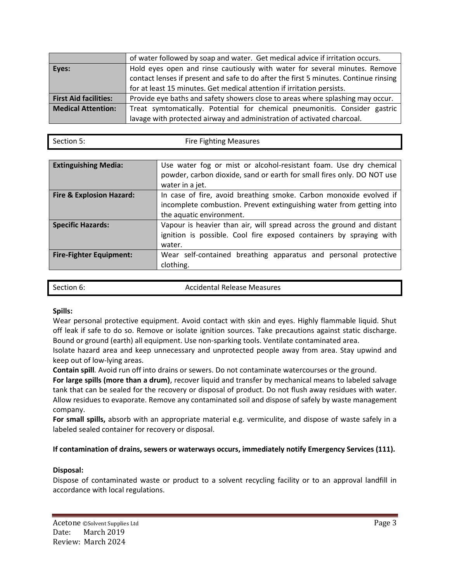|                              | of water followed by soap and water. Get medical advice if irritation occurs.        |
|------------------------------|--------------------------------------------------------------------------------------|
| Eyes:                        | Hold eyes open and rinse cautiously with water for several minutes. Remove           |
|                              | contact lenses if present and safe to do after the first 5 minutes. Continue rinsing |
|                              | for at least 15 minutes. Get medical attention if irritation persists.               |
| <b>First Aid facilities:</b> | Provide eye baths and safety showers close to areas where splashing may occur.       |
| <b>Medical Attention:</b>    | Treat symtomatically. Potential for chemical pneumonitis. Consider gastric           |
|                              | lavage with protected airway and administration of activated charcoal.               |

| Section 5: | <b>Fire Fighting Measures</b> |
|------------|-------------------------------|
|            |                               |

| <b>Extinguishing Media:</b>         | Use water fog or mist or alcohol-resistant foam. Use dry chemical      |  |
|-------------------------------------|------------------------------------------------------------------------|--|
|                                     | powder, carbon dioxide, sand or earth for small fires only. DO NOT use |  |
|                                     | water in a jet.                                                        |  |
| <b>Fire &amp; Explosion Hazard:</b> | In case of fire, avoid breathing smoke. Carbon monoxide evolved if     |  |
|                                     | incomplete combustion. Prevent extinguishing water from getting into   |  |
|                                     | the aquatic environment.                                               |  |
| <b>Specific Hazards:</b>            | Vapour is heavier than air, will spread across the ground and distant  |  |
|                                     | ignition is possible. Cool fire exposed containers by spraying with    |  |
|                                     | water.                                                                 |  |
| <b>Fire-Fighter Equipment:</b>      | Wear self-contained breathing apparatus and personal protective        |  |
|                                     | clothing.                                                              |  |

| Section 6: | <b>Accidental Release Measures</b> |
|------------|------------------------------------|
|            |                                    |

## **Spills:**

Wear personal protective equipment. Avoid contact with skin and eyes. Highly flammable liquid. Shut off leak if safe to do so. Remove or isolate ignition sources. Take precautions against static discharge. Bound or ground (earth) all equipment. Use non-sparking tools. Ventilate contaminated area.

Isolate hazard area and keep unnecessary and unprotected people away from area. Stay upwind and keep out of low-lying areas.

**Contain spill***.* Avoid run off into drains or sewers. Do not contaminate watercourses or the ground.

For large spills (more than a drum), recover liquid and transfer by mechanical means to labeled salvage tank that can be sealed for the recovery or disposal of product. Do not flush away residues with water. Allow residues to evaporate. Remove any contaminated soil and dispose of safely by waste management company.

**For small spills,** absorb with an appropriate material e.g. vermiculite, and dispose of waste safely in a labeled sealed container for recovery or disposal.

## **If contamination of drains, sewers or waterways occurs, immediately notify Emergency Services (111).**

## **Disposal:**

Dispose of contaminated waste or product to a solvent recycling facility or to an approval landfill in accordance with local regulations.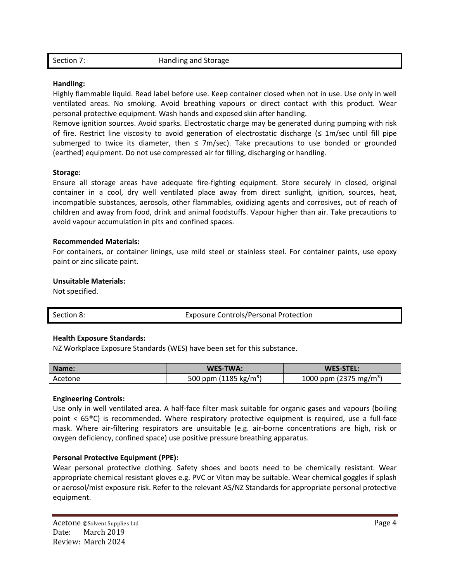Section 7: Handling and Storage

## **Handling:**

Highly flammable liquid. Read label before use. Keep container closed when not in use. Use only in well ventilated areas. No smoking. Avoid breathing vapours or direct contact with this product. Wear personal protective equipment. Wash hands and exposed skin after handling.

Remove ignition sources. Avoid sparks. Electrostatic charge may be generated during pumping with risk of fire. Restrict line viscosity to avoid generation of electrostatic discharge ( $\leq 1$ m/sec until fill pipe submerged to twice its diameter, then  $\leq$  7m/sec). Take precautions to use bonded or grounded (earthed) equipment. Do not use compressed air for filling, discharging or handling.

#### **Storage:**

Ensure all storage areas have adequate fire-fighting equipment. Store securely in closed, original container in a cool, dry well ventilated place away from direct sunlight, ignition, sources, heat, incompatible substances, aerosols, other flammables, oxidizing agents and corrosives, out of reach of children and away from food, drink and animal foodstuffs. Vapour higher than air. Take precautions to avoid vapour accumulation in pits and confined spaces.

#### **Recommended Materials:**

For containers, or container linings, use mild steel or stainless steel. For container paints, use epoxy paint or zinc silicate paint.

#### **Unsuitable Materials:**

Not specified.

| Section 8: | <b>Exposure Controls/Personal Protection</b> |
|------------|----------------------------------------------|
|            |                                              |

## **Health Exposure Standards:**

NZ Workplace Exposure Standards (WES) have been set for this substance.

| Name:   | <b>WES-TWA:</b>                   | WES-STEL:                          |
|---------|-----------------------------------|------------------------------------|
| Acetone | 500 ppm (1185 kg/m <sup>3</sup> ) | 1000 ppm (2375 mg/m <sup>3</sup> ) |

#### **Engineering Controls:**

Use only in well ventilated area. A half-face filter mask suitable for organic gases and vapours (boiling point < 65®C) is recommended. Where respiratory protective equipment is required, use a full-face mask. Where air-filtering respirators are unsuitable (e.g. air-borne concentrations are high, risk or oxygen deficiency, confined space) use positive pressure breathing apparatus.

## **Personal Protective Equipment (PPE):**

Wear personal protective clothing. Safety shoes and boots need to be chemically resistant. Wear appropriate chemical resistant gloves e.g. PVC or Viton may be suitable. Wear chemical goggles if splash or aerosol/mist exposure risk. Refer to the relevant AS/NZ Standards for appropriate personal protective equipment.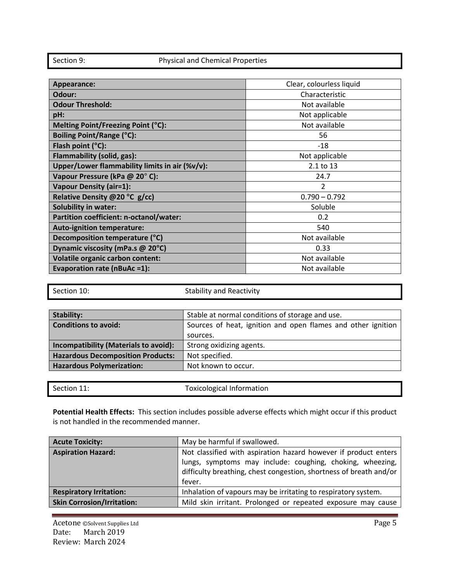# Section 9: Physical and Chemical Properties

| Appearance:                                    | Clear, colourless liquid |
|------------------------------------------------|--------------------------|
| Odour:                                         | Characteristic           |
| <b>Odour Threshold:</b>                        | Not available            |
| pH:                                            | Not applicable           |
| Melting Point/Freezing Point (°C):             | Not available            |
| Boiling Point/Range (°C):                      | 56                       |
| Flash point (°C):                              | $-18$                    |
| Flammability (solid, gas):                     | Not applicable           |
| Upper/Lower flammability limits in air (%v/v): | 2.1 to 13                |
| Vapour Pressure (kPa @ 20°C):                  | 24.7                     |
| <b>Vapour Density (air=1):</b>                 | 2                        |
| Relative Density @20 °C g/cc)                  | $0.790 - 0.792$          |
| <b>Solubility in water:</b>                    | Soluble                  |
| Partition coefficient: n-octanol/water:        | 0.2                      |
| <b>Auto-ignition temperature:</b>              | 540                      |
| Decomposition temperature (°C)                 | Not available            |
| Dynamic viscosity (mPa.s @ 20°C)               | 0.33                     |
| <b>Volatile organic carbon content:</b>        | Not available            |
| Evaporation rate (nBuAc =1):                   | Not available            |

| Section 10:                              | <b>Stability and Reactivity</b>                              |  |
|------------------------------------------|--------------------------------------------------------------|--|
|                                          |                                                              |  |
| <b>Stability:</b>                        | Stable at normal conditions of storage and use.              |  |
| <b>Conditions to avoid:</b>              | Sources of heat, ignition and open flames and other ignition |  |
|                                          | sources.                                                     |  |
| Incompatibility (Materials to avoid):    | Strong oxidizing agents.                                     |  |
| <b>Hazardous Decomposition Products:</b> | Not specified.                                               |  |
| <b>Hazardous Polymerization:</b>         | Not known to occur.                                          |  |

| Section 11: | Toxicological Information |
|-------------|---------------------------|
|             |                           |

**Potential Health Effects:** This section includes possible adverse effects which might occur if this product is not handled in the recommended manner.

| <b>Acute Toxicity:</b>            | May be harmful if swallowed.                                                                                                                                                                                 |
|-----------------------------------|--------------------------------------------------------------------------------------------------------------------------------------------------------------------------------------------------------------|
| <b>Aspiration Hazard:</b>         | Not classified with aspiration hazard however if product enters<br>lungs, symptoms may include: coughing, choking, wheezing,<br>difficulty breathing, chest congestion, shortness of breath and/or<br>fever. |
| <b>Respiratory Irritation:</b>    | Inhalation of vapours may be irritating to respiratory system.                                                                                                                                               |
| <b>Skin Corrosion/Irritation:</b> | Mild skin irritant. Prolonged or repeated exposure may cause                                                                                                                                                 |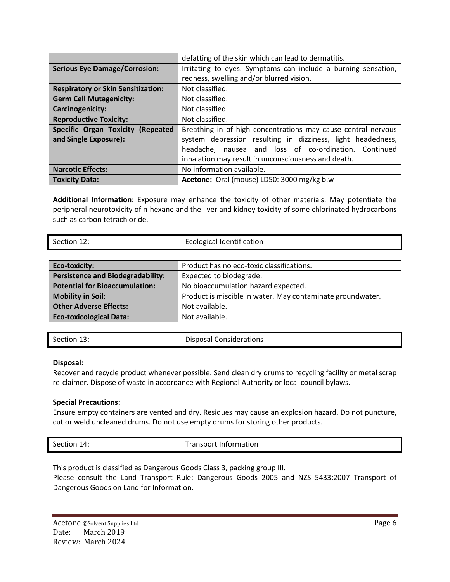|                                           | defatting of the skin which can lead to dermatitis.           |
|-------------------------------------------|---------------------------------------------------------------|
| <b>Serious Eye Damage/Corrosion:</b>      | Irritating to eyes. Symptoms can include a burning sensation, |
|                                           | redness, swelling and/or blurred vision.                      |
| <b>Respiratory or Skin Sensitization:</b> | Not classified.                                               |
| <b>Germ Cell Mutagenicity:</b>            | Not classified.                                               |
| Carcinogenicity:                          | Not classified.                                               |
| <b>Reproductive Toxicity:</b>             | Not classified.                                               |
| Specific Organ Toxicity (Repeated         | Breathing in of high concentrations may cause central nervous |
| and Single Exposure):                     | system depression resulting in dizziness, light headedness,   |
|                                           | headache, nausea and loss of co-ordination. Continued         |
|                                           | inhalation may result in unconsciousness and death.           |
| <b>Narcotic Effects:</b>                  | No information available.                                     |
| <b>Toxicity Data:</b>                     | Acetone: Oral (mouse) LD50: 3000 mg/kg b.w                    |

**Additional Information:** Exposure may enhance the toxicity of other materials. May potentiate the peripheral neurotoxicity of n-hexane and the liver and kidney toxicity of some chlorinated hydrocarbons such as carbon tetrachloride.

| Section 12:                              | <b>Ecological Identification</b>                           |
|------------------------------------------|------------------------------------------------------------|
|                                          |                                                            |
| <b>Eco-toxicity:</b>                     | Product has no eco-toxic classifications.                  |
| <b>Persistence and Biodegradability:</b> | Expected to biodegrade.                                    |
| <b>Potential for Bioaccumulation:</b>    | No bioaccumulation hazard expected.                        |
| <b>Mobility in Soil:</b>                 | Product is miscible in water. May contaminate groundwater. |
| <b>Other Adverse Effects:</b>            | Not available.                                             |
| <b>Eco-toxicological Data:</b>           | Not available.                                             |

Section 13: Disposal Considerations

## **Disposal:**

Recover and recycle product whenever possible. Send clean dry drums to recycling facility or metal scrap re-claimer. Dispose of waste in accordance with Regional Authority or local council bylaws.

## **Special Precautions:**

Ensure empty containers are vented and dry. Residues may cause an explosion hazard. Do not puncture, cut or weld uncleaned drums. Do not use empty drums for storing other products.

| <b>Transport Information</b><br>Section 14: |  |
|---------------------------------------------|--|
|---------------------------------------------|--|

This product is classified as Dangerous Goods Class 3, packing group III.

Please consult the Land Transport Rule: Dangerous Goods 2005 and NZS 5433:2007 Transport of Dangerous Goods on Land for Information.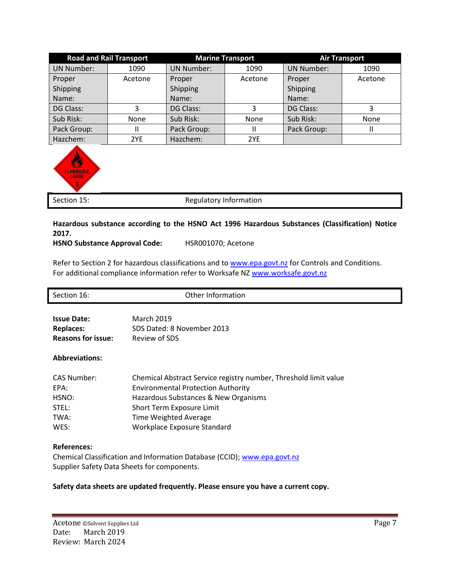| <b>Road and Rail Transport</b> |         | <b>Marine Transport</b> |             | <b>Air Transport</b> |         |
|--------------------------------|---------|-------------------------|-------------|----------------------|---------|
| <b>UN Number:</b>              | 1090    | <b>UN Number:</b>       | 1090        | <b>UN Number:</b>    | 1090    |
| Proper                         | Acetone | Proper                  | Acetone     | Proper               | Acetone |
| Shipping                       |         | Shipping                |             | Shipping             |         |
| Name:                          |         | Name:                   |             | Name:                |         |
| DG Class:                      | 3       | DG Class:               |             | DG Class:            |         |
| Sub Risk:                      | None    | Sub Risk:               | <b>None</b> | Sub Risk:            | None    |
| Pack Group:                    | Ш       | Pack Group:             |             | Pack Group:          |         |
| Hazchem:                       | 2YE     | Hazchem:                | 2YE         |                      |         |



Section 15: Section 15: Section 15: Section 15:

## **Hazardous substance according to the HSNO Act 1996 Hazardous Substances (Classification) Notice 2017.**

## **HSNO Substance Approval Code:** HSR001070; Acetone

Refer to Section 2 for hazardous classifications and to [www.epa.govt.nz](http://www.epa.govt.nz/) for Controls and Conditions. For additional compliance information refer to Worksafe N[Z www.worksafe.govt.nz](http://www.worksafe.govt.nz/)

| Section 16:               | Other Information                                                |  |  |
|---------------------------|------------------------------------------------------------------|--|--|
|                           |                                                                  |  |  |
| <b>Issue Date:</b>        | March 2019                                                       |  |  |
| <b>Replaces:</b>          | SDS Dated: 8 November 2013                                       |  |  |
| <b>Reasons for issue:</b> | Review of SDS                                                    |  |  |
|                           |                                                                  |  |  |
| <b>Abbreviations:</b>     |                                                                  |  |  |
|                           |                                                                  |  |  |
| <b>CAS Number:</b>        | Chemical Abstract Service registry number, Threshold limit value |  |  |
| EPA:                      | <b>Environmental Protection Authority</b>                        |  |  |
| HSNO:                     | Hazardous Substances & New Organisms                             |  |  |
| STEL:                     | Short Term Exposure Limit                                        |  |  |
| TWA:                      | <b>Time Weighted Average</b>                                     |  |  |
| WES:                      | Workplace Exposure Standard                                      |  |  |
|                           |                                                                  |  |  |

## **References:**

Chemical Classification and Information Database (CCID); [www.epa.govt.nz](http://www.epa.govt.nz/) Supplier Safety Data Sheets for components.

## **Safety data sheets are updated frequently. Please ensure you have a current copy.**